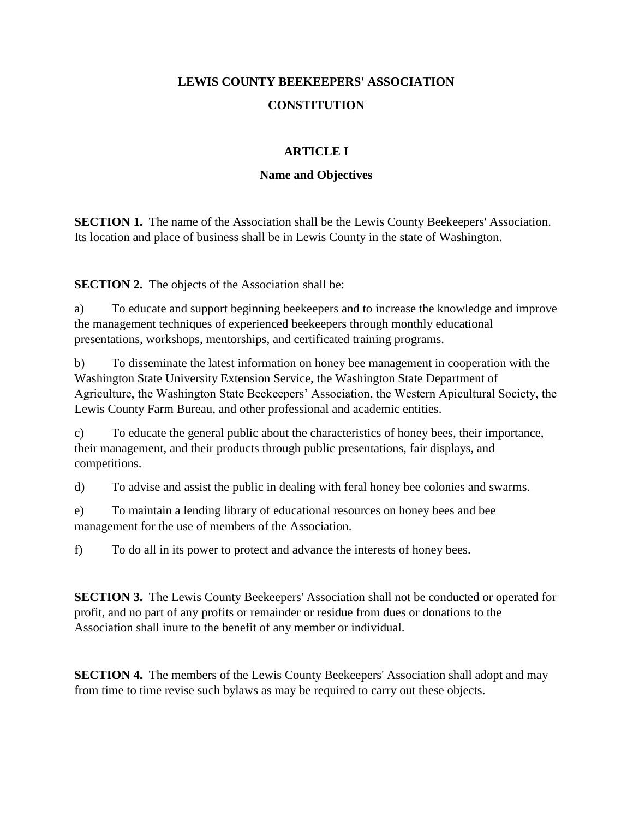# **LEWIS COUNTY BEEKEEPERS' ASSOCIATION CONSTITUTION**

# **ARTICLE I**

### **Name and Objectives**

**SECTION 1.** The name of the Association shall be the Lewis County Beekeepers' Association. Its location and place of business shall be in Lewis County in the state of Washington.

**SECTION 2.** The objects of the Association shall be:

a) To educate and support beginning beekeepers and to increase the knowledge and improve the management techniques of experienced beekeepers through monthly educational presentations, workshops, mentorships, and certificated training programs.

b) To disseminate the latest information on honey bee management in cooperation with the Washington State University Extension Service, the Washington State Department of Agriculture, the Washington State Beekeepers' Association, the Western Apicultural Society, the Lewis County Farm Bureau, and other professional and academic entities.

c) To educate the general public about the characteristics of honey bees, their importance, their management, and their products through public presentations, fair displays, and competitions.

d) To advise and assist the public in dealing with feral honey bee colonies and swarms.

e) To maintain a lending library of educational resources on honey bees and bee management for the use of members of the Association.

f) To do all in its power to protect and advance the interests of honey bees.

**SECTION 3.** The Lewis County Beekeepers' Association shall not be conducted or operated for profit, and no part of any profits or remainder or residue from dues or donations to the Association shall inure to the benefit of any member or individual.

**SECTION 4.** The members of the Lewis County Beekeepers' Association shall adopt and may from time to time revise such bylaws as may be required to carry out these objects.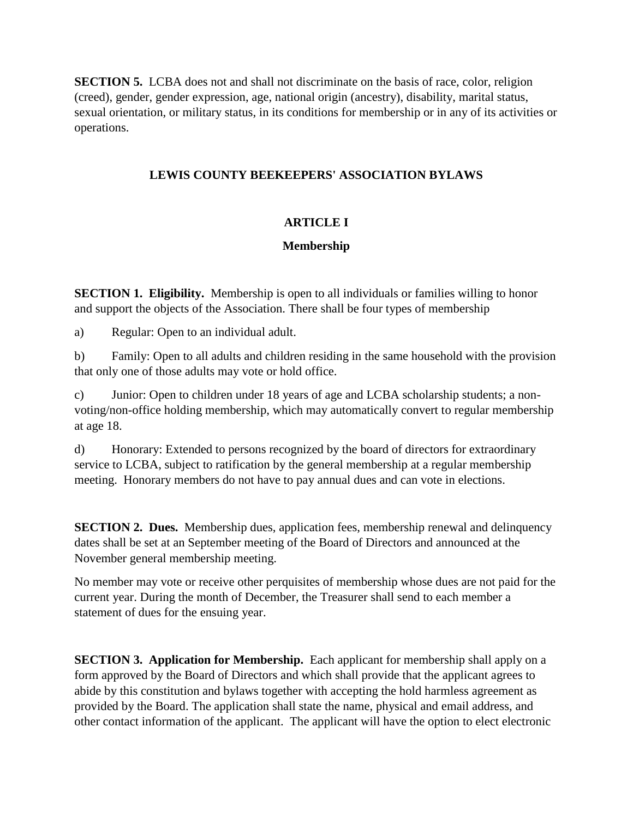**SECTION 5.** LCBA does not and shall not discriminate on the basis of race, color, religion (creed), gender, gender expression, age, national origin (ancestry), disability, marital status, sexual orientation, or military status, in its conditions for membership or in any of its activities or operations.

### **LEWIS COUNTY BEEKEEPERS' ASSOCIATION BYLAWS**

# **ARTICLE I**

# **Membership**

**SECTION 1. Eligibility.** Membership is open to all individuals or families willing to honor and support the objects of the Association. There shall be four types of membership

a) Regular: Open to an individual adult.

b) Family: Open to all adults and children residing in the same household with the provision that only one of those adults may vote or hold office.

c) Junior: Open to children under 18 years of age and LCBA scholarship students; a nonvoting/non-office holding membership, which may automatically convert to regular membership at age 18.

d) Honorary: Extended to persons recognized by the board of directors for extraordinary service to LCBA, subject to ratification by the general membership at a regular membership meeting. Honorary members do not have to pay annual dues and can vote in elections.

**SECTION 2. Dues.** Membership dues, application fees, membership renewal and delinquency dates shall be set at an September meeting of the Board of Directors and announced at the November general membership meeting.

No member may vote or receive other perquisites of membership whose dues are not paid for the current year. During the month of December, the Treasurer shall send to each member a statement of dues for the ensuing year.

**SECTION 3. Application for Membership.** Each applicant for membership shall apply on a form approved by the Board of Directors and which shall provide that the applicant agrees to abide by this constitution and bylaws together with accepting the hold harmless agreement as provided by the Board. The application shall state the name, physical and email address, and other contact information of the applicant. The applicant will have the option to elect electronic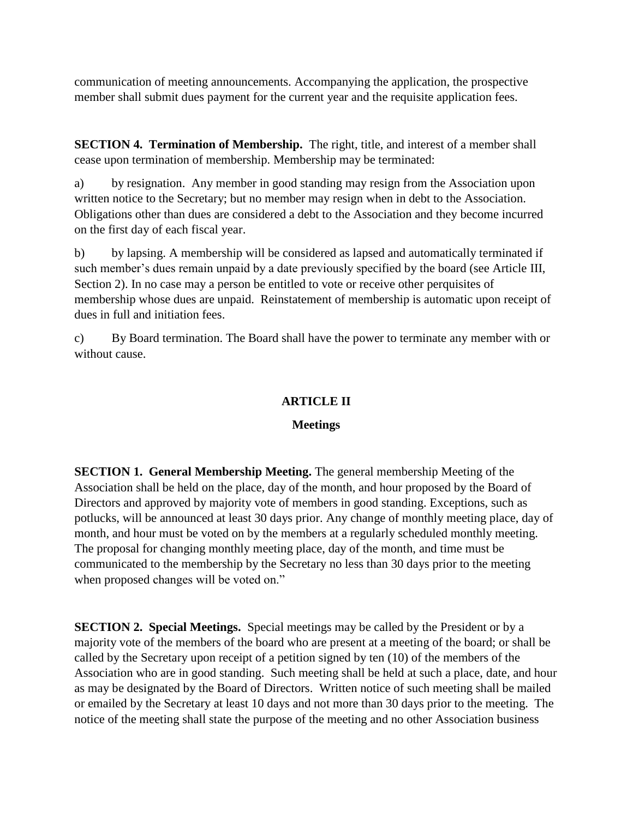communication of meeting announcements. Accompanying the application, the prospective member shall submit dues payment for the current year and the requisite application fees.

**SECTION 4. Termination of Membership.** The right, title, and interest of a member shall cease upon termination of membership. Membership may be terminated:

a) by resignation. Any member in good standing may resign from the Association upon written notice to the Secretary; but no member may resign when in debt to the Association. Obligations other than dues are considered a debt to the Association and they become incurred on the first day of each fiscal year.

b) by lapsing. A membership will be considered as lapsed and automatically terminated if such member's dues remain unpaid by a date previously specified by the board (see Article III, Section 2). In no case may a person be entitled to vote or receive other perquisites of membership whose dues are unpaid. Reinstatement of membership is automatic upon receipt of dues in full and initiation fees.

c) By Board termination. The Board shall have the power to terminate any member with or without cause.

### **ARTICLE II**

### **Meetings**

**SECTION 1. General Membership Meeting.** The general membership Meeting of the Association shall be held on the place, day of the month, and hour proposed by the Board of Directors and approved by majority vote of members in good standing. Exceptions, such as potlucks, will be announced at least 30 days prior. Any change of monthly meeting place, day of month, and hour must be voted on by the members at a regularly scheduled monthly meeting. The proposal for changing monthly meeting place, day of the month, and time must be communicated to the membership by the Secretary no less than 30 days prior to the meeting when proposed changes will be voted on."

**SECTION 2. Special Meetings.** Special meetings may be called by the President or by a majority vote of the members of the board who are present at a meeting of the board; or shall be called by the Secretary upon receipt of a petition signed by ten (10) of the members of the Association who are in good standing. Such meeting shall be held at such a place, date, and hour as may be designated by the Board of Directors. Written notice of such meeting shall be mailed or emailed by the Secretary at least 10 days and not more than 30 days prior to the meeting. The notice of the meeting shall state the purpose of the meeting and no other Association business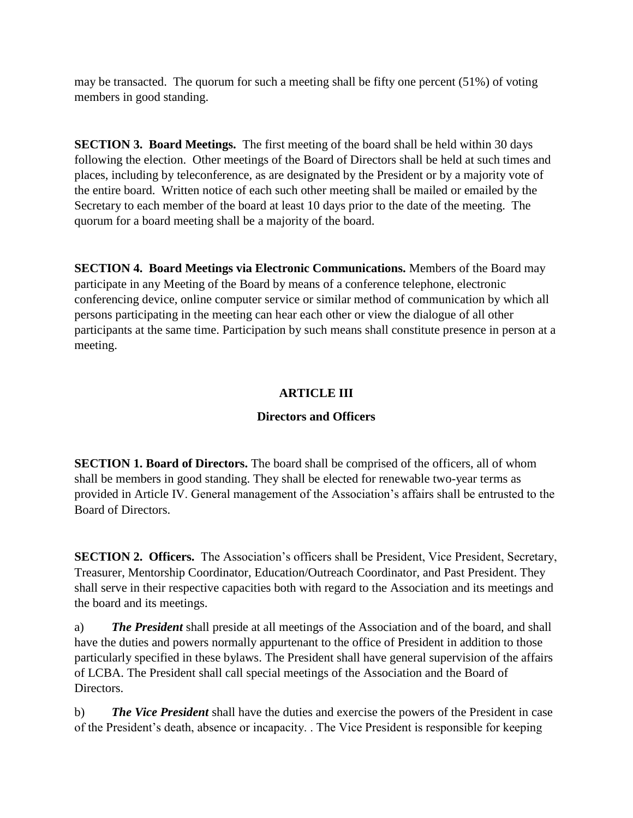may be transacted. The quorum for such a meeting shall be fifty one percent (51%) of voting members in good standing.

**SECTION 3. Board Meetings.** The first meeting of the board shall be held within 30 days following the election. Other meetings of the Board of Directors shall be held at such times and places, including by teleconference, as are designated by the President or by a majority vote of the entire board. Written notice of each such other meeting shall be mailed or emailed by the Secretary to each member of the board at least 10 days prior to the date of the meeting. The quorum for a board meeting shall be a majority of the board.

**SECTION 4. Board Meetings via Electronic Communications.** Members of the Board may participate in any Meeting of the Board by means of a conference telephone, electronic conferencing device, online computer service or similar method of communication by which all persons participating in the meeting can hear each other or view the dialogue of all other participants at the same time. Participation by such means shall constitute presence in person at a meeting.

### **ARTICLE III**

### **Directors and Officers**

**SECTION 1. Board of Directors.** The board shall be comprised of the officers, all of whom shall be members in good standing. They shall be elected for renewable two-year terms as provided in Article IV. General management of the Association's affairs shall be entrusted to the Board of Directors.

**SECTION 2. Officers.** The Association's officers shall be President, Vice President, Secretary, Treasurer, Mentorship Coordinator, Education/Outreach Coordinator, and Past President. They shall serve in their respective capacities both with regard to the Association and its meetings and the board and its meetings.

a) *The President* shall preside at all meetings of the Association and of the board, and shall have the duties and powers normally appurtenant to the office of President in addition to those particularly specified in these bylaws. The President shall have general supervision of the affairs of LCBA. The President shall call special meetings of the Association and the Board of Directors.

b) *The Vice President* shall have the duties and exercise the powers of the President in case of the President's death, absence or incapacity. . The Vice President is responsible for keeping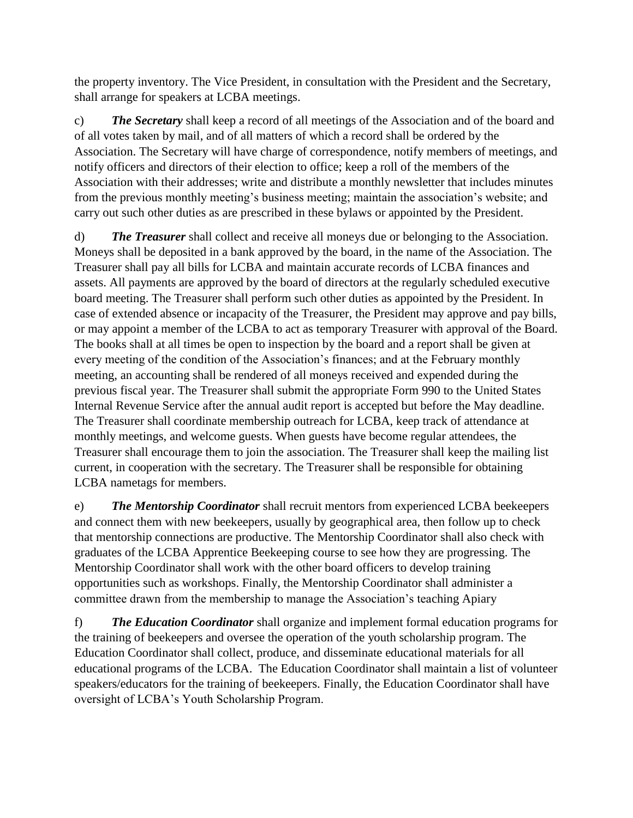the property inventory. The Vice President, in consultation with the President and the Secretary, shall arrange for speakers at LCBA meetings.

c) *The Secretary* shall keep a record of all meetings of the Association and of the board and of all votes taken by mail, and of all matters of which a record shall be ordered by the Association. The Secretary will have charge of correspondence, notify members of meetings, and notify officers and directors of their election to office; keep a roll of the members of the Association with their addresses; write and distribute a monthly newsletter that includes minutes from the previous monthly meeting's business meeting; maintain the association's website; and carry out such other duties as are prescribed in these bylaws or appointed by the President.

d) *The Treasurer* shall collect and receive all moneys due or belonging to the Association. Moneys shall be deposited in a bank approved by the board, in the name of the Association. The Treasurer shall pay all bills for LCBA and maintain accurate records of LCBA finances and assets. All payments are approved by the board of directors at the regularly scheduled executive board meeting. The Treasurer shall perform such other duties as appointed by the President. In case of extended absence or incapacity of the Treasurer, the President may approve and pay bills, or may appoint a member of the LCBA to act as temporary Treasurer with approval of the Board. The books shall at all times be open to inspection by the board and a report shall be given at every meeting of the condition of the Association's finances; and at the February monthly meeting, an accounting shall be rendered of all moneys received and expended during the previous fiscal year. The Treasurer shall submit the appropriate Form 990 to the United States Internal Revenue Service after the annual audit report is accepted but before the May deadline. The Treasurer shall coordinate membership outreach for LCBA, keep track of attendance at monthly meetings, and welcome guests. When guests have become regular attendees, the Treasurer shall encourage them to join the association. The Treasurer shall keep the mailing list current, in cooperation with the secretary. The Treasurer shall be responsible for obtaining LCBA nametags for members.

e) *The Mentorship Coordinator* shall recruit mentors from experienced LCBA beekeepers and connect them with new beekeepers, usually by geographical area, then follow up to check that mentorship connections are productive. The Mentorship Coordinator shall also check with graduates of the LCBA Apprentice Beekeeping course to see how they are progressing. The Mentorship Coordinator shall work with the other board officers to develop training opportunities such as workshops. Finally, the Mentorship Coordinator shall administer a committee drawn from the membership to manage the Association's teaching Apiary

f) *The Education Coordinator* shall organize and implement formal education programs for the training of beekeepers and oversee the operation of the youth scholarship program. The Education Coordinator shall collect, produce, and disseminate educational materials for all educational programs of the LCBA. The Education Coordinator shall maintain a list of volunteer speakers/educators for the training of beekeepers. Finally, the Education Coordinator shall have oversight of LCBA's Youth Scholarship Program.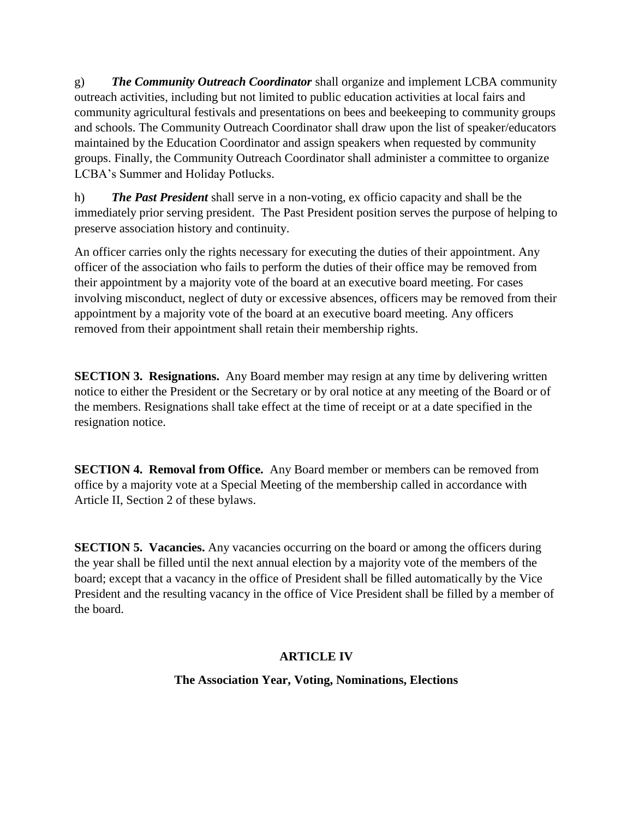g) *The Community Outreach Coordinator* shall organize and implement LCBA community outreach activities, including but not limited to public education activities at local fairs and community agricultural festivals and presentations on bees and beekeeping to community groups and schools. The Community Outreach Coordinator shall draw upon the list of speaker/educators maintained by the Education Coordinator and assign speakers when requested by community groups. Finally, the Community Outreach Coordinator shall administer a committee to organize LCBA's Summer and Holiday Potlucks.

h) *The Past President* shall serve in a non-voting, ex officio capacity and shall be the immediately prior serving president. The Past President position serves the purpose of helping to preserve association history and continuity.

An officer carries only the rights necessary for executing the duties of their appointment. Any officer of the association who fails to perform the duties of their office may be removed from their appointment by a majority vote of the board at an executive board meeting. For cases involving misconduct, neglect of duty or excessive absences, officers may be removed from their appointment by a majority vote of the board at an executive board meeting. Any officers removed from their appointment shall retain their membership rights.

**SECTION 3. Resignations.** Any Board member may resign at any time by delivering written notice to either the President or the Secretary or by oral notice at any meeting of the Board or of the members. Resignations shall take effect at the time of receipt or at a date specified in the resignation notice.

**SECTION 4. Removal from Office.** Any Board member or members can be removed from office by a majority vote at a Special Meeting of the membership called in accordance with Article II, Section 2 of these bylaws.

**SECTION 5. Vacancies.** Any vacancies occurring on the board or among the officers during the year shall be filled until the next annual election by a majority vote of the members of the board; except that a vacancy in the office of President shall be filled automatically by the Vice President and the resulting vacancy in the office of Vice President shall be filled by a member of the board.

# **ARTICLE IV**

# **The Association Year, Voting, Nominations, Elections**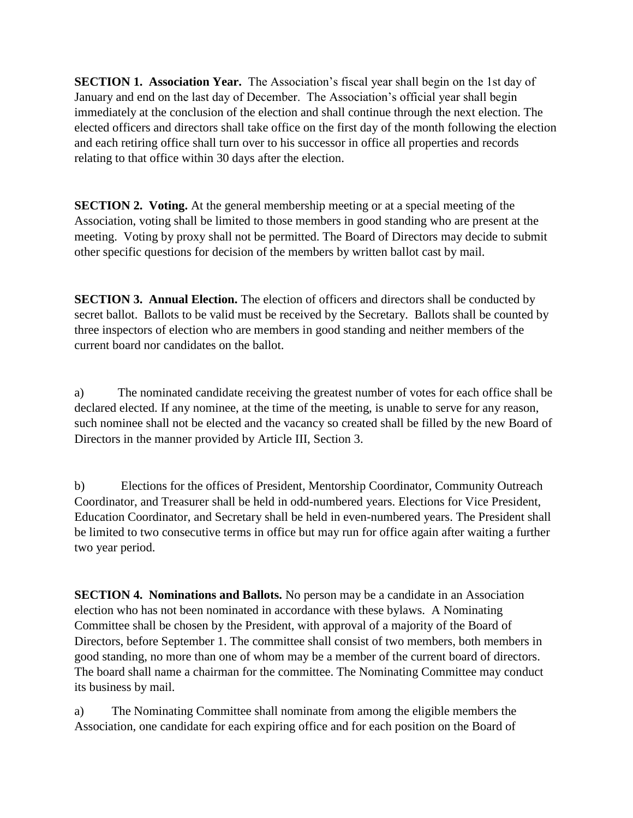**SECTION 1. Association Year.** The Association's fiscal year shall begin on the 1st day of January and end on the last day of December. The Association's official year shall begin immediately at the conclusion of the election and shall continue through the next election. The elected officers and directors shall take office on the first day of the month following the election and each retiring office shall turn over to his successor in office all properties and records relating to that office within 30 days after the election.

**SECTION 2. Voting.** At the general membership meeting or at a special meeting of the Association, voting shall be limited to those members in good standing who are present at the meeting. Voting by proxy shall not be permitted. The Board of Directors may decide to submit other specific questions for decision of the members by written ballot cast by mail.

**SECTION 3. Annual Election.** The election of officers and directors shall be conducted by secret ballot. Ballots to be valid must be received by the Secretary. Ballots shall be counted by three inspectors of election who are members in good standing and neither members of the current board nor candidates on the ballot.

a) The nominated candidate receiving the greatest number of votes for each office shall be declared elected. If any nominee, at the time of the meeting, is unable to serve for any reason, such nominee shall not be elected and the vacancy so created shall be filled by the new Board of Directors in the manner provided by Article III, Section 3.

b) Elections for the offices of President, Mentorship Coordinator, Community Outreach Coordinator, and Treasurer shall be held in odd-numbered years. Elections for Vice President, Education Coordinator, and Secretary shall be held in even-numbered years. The President shall be limited to two consecutive terms in office but may run for office again after waiting a further two year period.

**SECTION 4. Nominations and Ballots.** No person may be a candidate in an Association election who has not been nominated in accordance with these bylaws. A Nominating Committee shall be chosen by the President, with approval of a majority of the Board of Directors, before September 1. The committee shall consist of two members, both members in good standing, no more than one of whom may be a member of the current board of directors. The board shall name a chairman for the committee. The Nominating Committee may conduct its business by mail.

a) The Nominating Committee shall nominate from among the eligible members the Association, one candidate for each expiring office and for each position on the Board of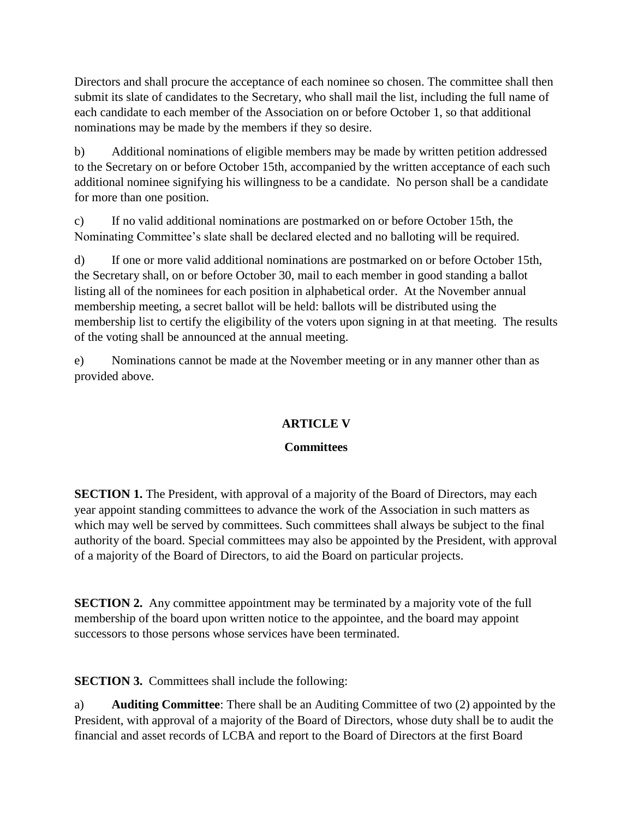Directors and shall procure the acceptance of each nominee so chosen. The committee shall then submit its slate of candidates to the Secretary, who shall mail the list, including the full name of each candidate to each member of the Association on or before October 1, so that additional nominations may be made by the members if they so desire.

b) Additional nominations of eligible members may be made by written petition addressed to the Secretary on or before October 15th, accompanied by the written acceptance of each such additional nominee signifying his willingness to be a candidate. No person shall be a candidate for more than one position.

c) If no valid additional nominations are postmarked on or before October 15th, the Nominating Committee's slate shall be declared elected and no balloting will be required.

d) If one or more valid additional nominations are postmarked on or before October 15th, the Secretary shall, on or before October 30, mail to each member in good standing a ballot listing all of the nominees for each position in alphabetical order. At the November annual membership meeting, a secret ballot will be held: ballots will be distributed using the membership list to certify the eligibility of the voters upon signing in at that meeting. The results of the voting shall be announced at the annual meeting.

e) Nominations cannot be made at the November meeting or in any manner other than as provided above.

# **ARTICLE V**

### **Committees**

**SECTION 1.** The President, with approval of a majority of the Board of Directors, may each year appoint standing committees to advance the work of the Association in such matters as which may well be served by committees. Such committees shall always be subject to the final authority of the board. Special committees may also be appointed by the President, with approval of a majority of the Board of Directors, to aid the Board on particular projects.

**SECTION 2.** Any committee appointment may be terminated by a majority vote of the full membership of the board upon written notice to the appointee, and the board may appoint successors to those persons whose services have been terminated.

**SECTION 3.** Committees shall include the following:

a) **Auditing Committee**: There shall be an Auditing Committee of two (2) appointed by the President, with approval of a majority of the Board of Directors, whose duty shall be to audit the financial and asset records of LCBA and report to the Board of Directors at the first Board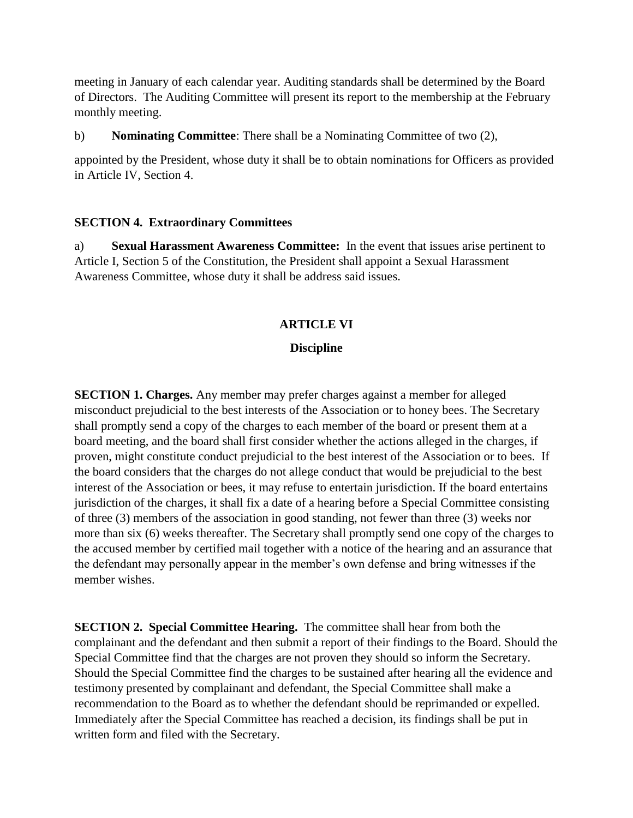meeting in January of each calendar year. Auditing standards shall be determined by the Board of Directors. The Auditing Committee will present its report to the membership at the February monthly meeting.

b) **Nominating Committee**: There shall be a Nominating Committee of two (2),

appointed by the President, whose duty it shall be to obtain nominations for Officers as provided in Article IV, Section 4.

#### **SECTION 4. Extraordinary Committees**

a) **Sexual Harassment Awareness Committee:** In the event that issues arise pertinent to Article I, Section 5 of the Constitution, the President shall appoint a Sexual Harassment Awareness Committee, whose duty it shall be address said issues.

#### **ARTICLE VI**

#### **Discipline**

**SECTION 1. Charges.** Any member may prefer charges against a member for alleged misconduct prejudicial to the best interests of the Association or to honey bees. The Secretary shall promptly send a copy of the charges to each member of the board or present them at a board meeting, and the board shall first consider whether the actions alleged in the charges, if proven, might constitute conduct prejudicial to the best interest of the Association or to bees. If the board considers that the charges do not allege conduct that would be prejudicial to the best interest of the Association or bees, it may refuse to entertain jurisdiction. If the board entertains jurisdiction of the charges, it shall fix a date of a hearing before a Special Committee consisting of three (3) members of the association in good standing, not fewer than three (3) weeks nor more than six (6) weeks thereafter. The Secretary shall promptly send one copy of the charges to the accused member by certified mail together with a notice of the hearing and an assurance that the defendant may personally appear in the member's own defense and bring witnesses if the member wishes.

**SECTION 2. Special Committee Hearing.** The committee shall hear from both the complainant and the defendant and then submit a report of their findings to the Board. Should the Special Committee find that the charges are not proven they should so inform the Secretary. Should the Special Committee find the charges to be sustained after hearing all the evidence and testimony presented by complainant and defendant, the Special Committee shall make a recommendation to the Board as to whether the defendant should be reprimanded or expelled. Immediately after the Special Committee has reached a decision, its findings shall be put in written form and filed with the Secretary.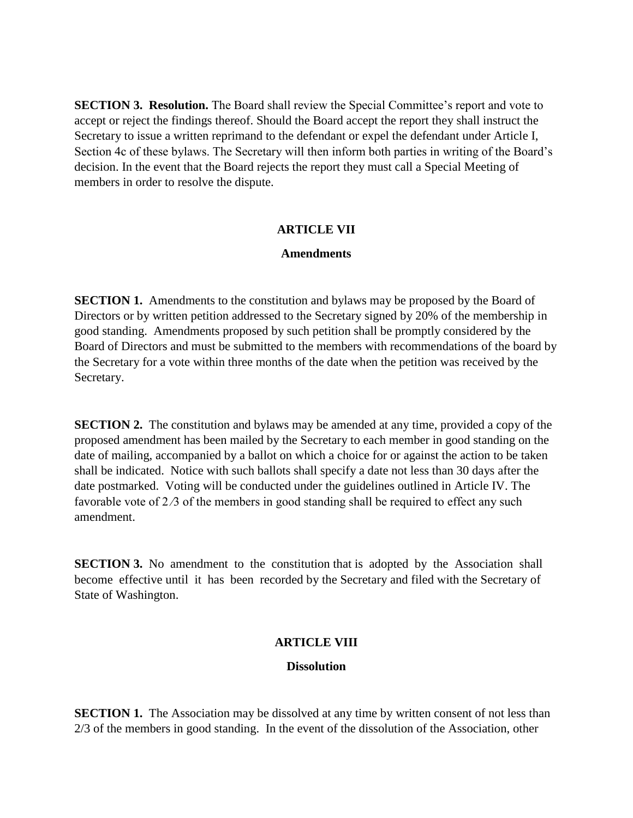**SECTION 3. Resolution.** The Board shall review the Special Committee's report and vote to accept or reject the findings thereof. Should the Board accept the report they shall instruct the Secretary to issue a written reprimand to the defendant or expel the defendant under Article I, Section 4c of these bylaws. The Secretary will then inform both parties in writing of the Board's decision. In the event that the Board rejects the report they must call a Special Meeting of members in order to resolve the dispute.

#### **ARTICLE VII**

#### **Amendments**

**SECTION 1.** Amendments to the constitution and bylaws may be proposed by the Board of Directors or by written petition addressed to the Secretary signed by 20% of the membership in good standing. Amendments proposed by such petition shall be promptly considered by the Board of Directors and must be submitted to the members with recommendations of the board by the Secretary for a vote within three months of the date when the petition was received by the Secretary.

**SECTION 2.** The constitution and bylaws may be amended at any time, provided a copy of the proposed amendment has been mailed by the Secretary to each member in good standing on the date of mailing, accompanied by a ballot on which a choice for or against the action to be taken shall be indicated. Notice with such ballots shall specify a date not less than 30 days after the date postmarked. Voting will be conducted under the guidelines outlined in Article IV. The favorable vote of  $2/3$  of the members in good standing shall be required to effect any such amendment.

**SECTION 3.** No amendment to the constitution that is adopted by the Association shall become effective until it has been recorded by the Secretary and filed with the Secretary of State of Washington.

#### **ARTICLE VIII**

#### **Dissolution**

**SECTION 1.** The Association may be dissolved at any time by written consent of not less than 2/3 of the members in good standing. In the event of the dissolution of the Association, other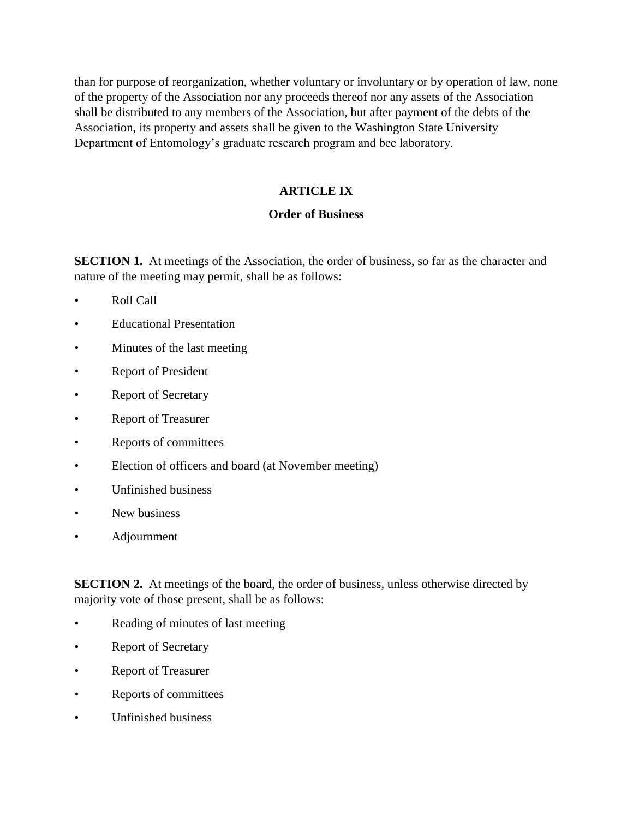than for purpose of reorganization, whether voluntary or involuntary or by operation of law, none of the property of the Association nor any proceeds thereof nor any assets of the Association shall be distributed to any members of the Association, but after payment of the debts of the Association, its property and assets shall be given to the Washington State University Department of Entomology's graduate research program and bee laboratory.

# **ARTICLE IX**

### **Order of Business**

**SECTION 1.** At meetings of the Association, the order of business, so far as the character and nature of the meeting may permit, shall be as follows:

- Roll Call
- Educational Presentation
- Minutes of the last meeting
- Report of President
- Report of Secretary
- Report of Treasurer
- Reports of committees
- Election of officers and board (at November meeting)
- Unfinished business
- New business
- Adjournment

**SECTION 2.** At meetings of the board, the order of business, unless otherwise directed by majority vote of those present, shall be as follows:

- Reading of minutes of last meeting
- Report of Secretary
- Report of Treasurer
- Reports of committees
- Unfinished business